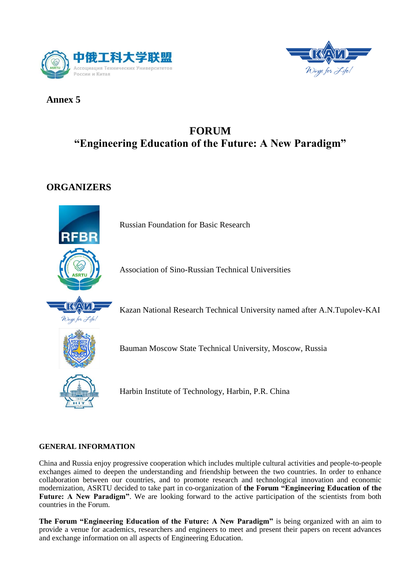



## **Annex 5**

# **FORUM "Engineering Education of the Future: A New Paradigm"**

## **ORGANIZERS**



Russian Foundation for Basic Research

Association of Sino-Russian Technical Universities

Kazan National Research Technical University named after A.N.Tupolev-KAI



Bauman Moscow State Technical University, Moscow, Russia

Harbin Institute of Technology, Harbin, P.R. China

## **GENERAL INFORMATION**

China and Russia enjoy progressive cooperation which includes multiple cultural activities and people-to-people exchanges aimed to deepen the understanding and friendship between the two countries. In order to enhance collaboration between our countries, and to promote research and technological innovation and economic modernization, ASRTU decided to take part in co-organization of **the Forum "Engineering Education of the**  Future: A New Paradigm". We are looking forward to the active participation of the scientists from both countries in the Forum.

**The Forum "Engineering Education of the Future: A New Paradigm"** is being organized with an aim to provide a venue for academics, researchers and engineers to meet and present their papers on recent advances and exchange information on all aspects of Engineering Education.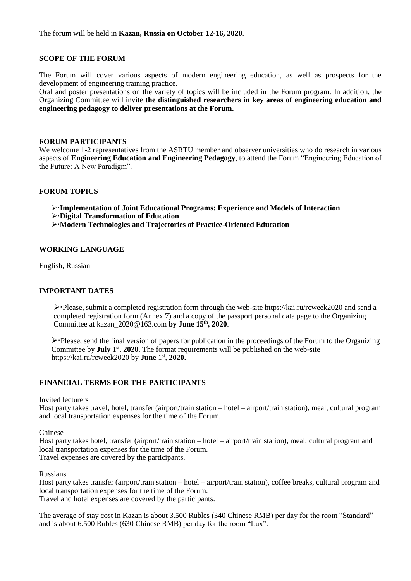#### **SCOPE OF THE FORUM**

The Forum will cover various aspects of modern engineering education, as well as prospects for the development of engineering training practice.

Oral and poster presentations on the variety of topics will be included in the Forum program. In addition, the Organizing Committee will invite **the distinguished researchers in key areas of engineering education and engineering pedagogy to deliver presentations at the Forum.**

#### **FORUM PARTICIPANTS**

We welcome 1-2 representatives from the ASRTU member and observer universities who do research in various aspects of **Engineering Education and Engineering Pedagogy**, to attend the Forum "Engineering Education of the Future: A New Paradigm".

#### **FORUM TOPICS**

- **Implementation of Joint Educational Programs: Experience and Models of Interaction**
- **Digital Transformation of Education**
- **Modern Technologies and Trajectories of Practice-Oriented Education**

#### **WORKING LANGUAGE**

English, Russian

#### **IMPORTANT DATES**

 $\triangleright$  Please, submit a completed registration form through the web-site https://kai.ru/rcweek2020 and send a completed registration form (Annex 7) and a copy of the passport personal data page to the Organizing Committee at kazan\_2020@163.com **by June 15 th, 2020**.

 $\triangleright$  Please, send the final version of papers for publication in the proceedings of the Forum to the Organizing Committee by **July** 1<sup>st</sup>, 2020. The format requirements will be published on the web-site https://kai.ru/rcweek2020 by **June** 1 st , **2020.**

## **FINANCIAL TERMS FOR THE PARTICIPANTS**

Invited lecturers

Host party takes travel, hotel, transfer (airport/train station – hotel – airport/train station), meal, cultural program and local transportation expenses for the time of the Forum.

Chinese

Host party takes hotel, transfer (airport/train station – hotel – airport/train station), meal, cultural program and local transportation expenses for the time of the Forum. Travel expenses are covered by the participants.

Russians

Host party takes transfer (airport/train station – hotel – airport/train station), coffee breaks, cultural program and local transportation expenses for the time of the Forum. Travel and hotel expenses are covered by the participants.

The average of stay cost in Kazan is about 3.500 Rubles (340 Chinese RMB) per day for the room "Standard" and is about 6.500 Rubles (630 Chinese RMB) per day for the room "Lux".